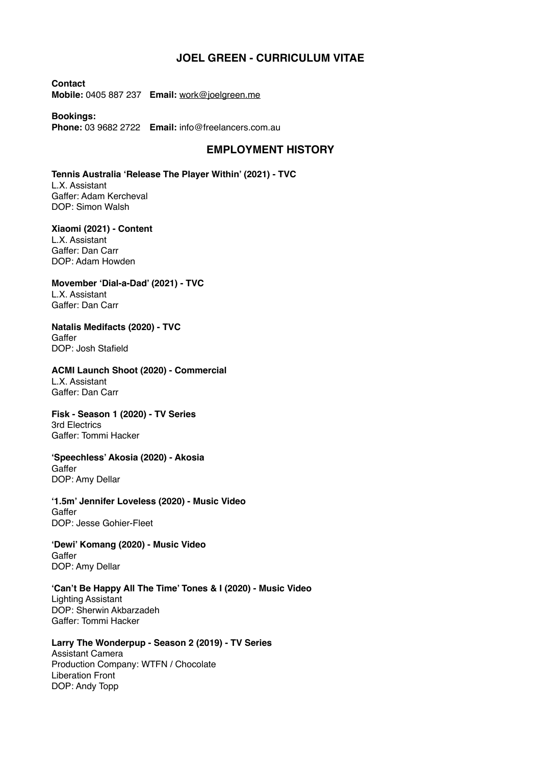## **JOEL GREEN - CURRICULUM VITAE**

**Contact Mobile:** 0405 887 237 **Email:** [work@joelgreen.me](mailto:work@joelgreen.me)

**Bookings: Phone:** 03 9682 2722 **Email:** info@freelancers.com.au

## **EMPLOYMENT HISTORY**

**Tennis Australia 'Release The Player Within' (2021) - TVC**  L.X. Assistant Gaffer: Adam Kercheval DOP: Simon Walsh

**Xiaomi (2021) - Content** L.X. Assistant Gaffer: Dan Carr DOP: Adam Howden

**Movember 'Dial-a-Dad' (2021) - TVC**  L.X. Assistant Gaffer: Dan Carr

**Natalis Medifacts (2020) - TVC**  Gaffer DOP: Josh Stafield

**ACMI Launch Shoot (2020) - Commercial** L.X. Assistant Gaffer: Dan Carr

**Fisk - Season 1 (2020) - TV Series**  3rd Electrics Gaffer: Tommi Hacker

**'Speechless' Akosia (2020) - Akosia Gaffer** DOP: Amy Dellar

**'1.5m' Jennifer Loveless (2020) - Music Video Gaffer** DOP: Jesse Gohier-Fleet

**'Dewi' Komang (2020) - Music Video Gaffer** DOP: Amy Dellar

**'Can't Be Happy All The Time' Tones & I (2020) - Music Video**  Lighting Assistant DOP: Sherwin Akbarzadeh Gaffer: Tommi Hacker

**Larry The Wonderpup - Season 2 (2019) - TV Series**  Assistant Camera Production Company: WTFN / Chocolate Liberation Front DOP: Andy Topp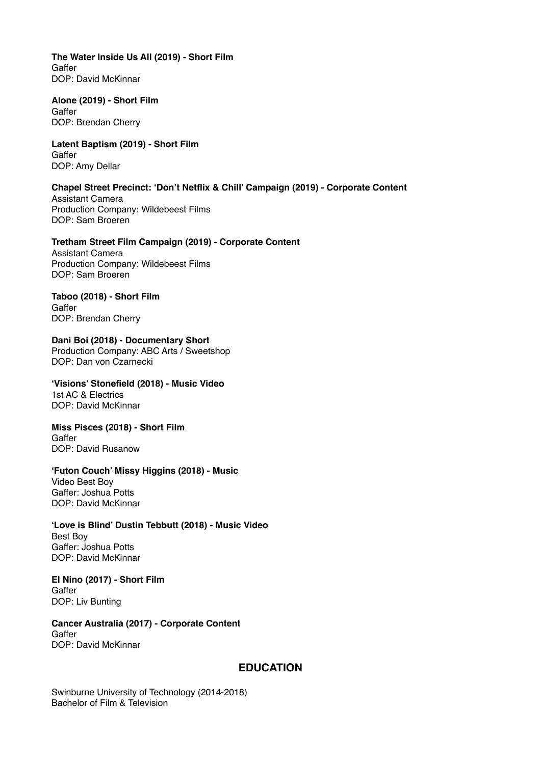**The Water Inside Us All (2019) - Short Film**  Gaffer DOP: David McKinnar

**Alone (2019) - Short Film**  Gaffer DOP: Brendan Cherry

**Latent Baptism (2019) - Short Film**  Gaffer DOP: Amy Dellar

**Chapel Street Precinct: 'Don't Netflix & Chill' Campaign (2019) - Corporate Content**  Assistant Camera Production Company: Wildebeest Films DOP: Sam Broeren

**Tretham Street Film Campaign (2019) - Corporate Content**  Assistant Camera

Production Company: Wildebeest Films DOP: Sam Broeren

**Taboo (2018) - Short Film Gaffer** DOP: Brendan Cherry

**Dani Boi (2018) - Documentary Short**  Production Company: ABC Arts / Sweetshop DOP: Dan von Czarnecki

**'Visions' Stonefield (2018) - Music Video**  1st AC & Electrics DOP: David McKinnar

**Miss Pisces (2018) - Short Film Gaffer** DOP: David Rusanow

**'Futon Couch' Missy Higgins (2018) - Music** 

Video Best Boy Gaffer: Joshua Potts DOP: David McKinnar

**'Love is Blind' Dustin Tebbutt (2018) - Music Video**  Best Boy Gaffer: Joshua Potts DOP: David McKinnar

**El Nino (2017) - Short Film Gaffer** DOP: Liv Bunting

**Cancer Australia (2017) - Corporate Content Gaffer** DOP: David McKinnar

## **EDUCATION**

Swinburne University of Technology (2014-2018) Bachelor of Film & Television